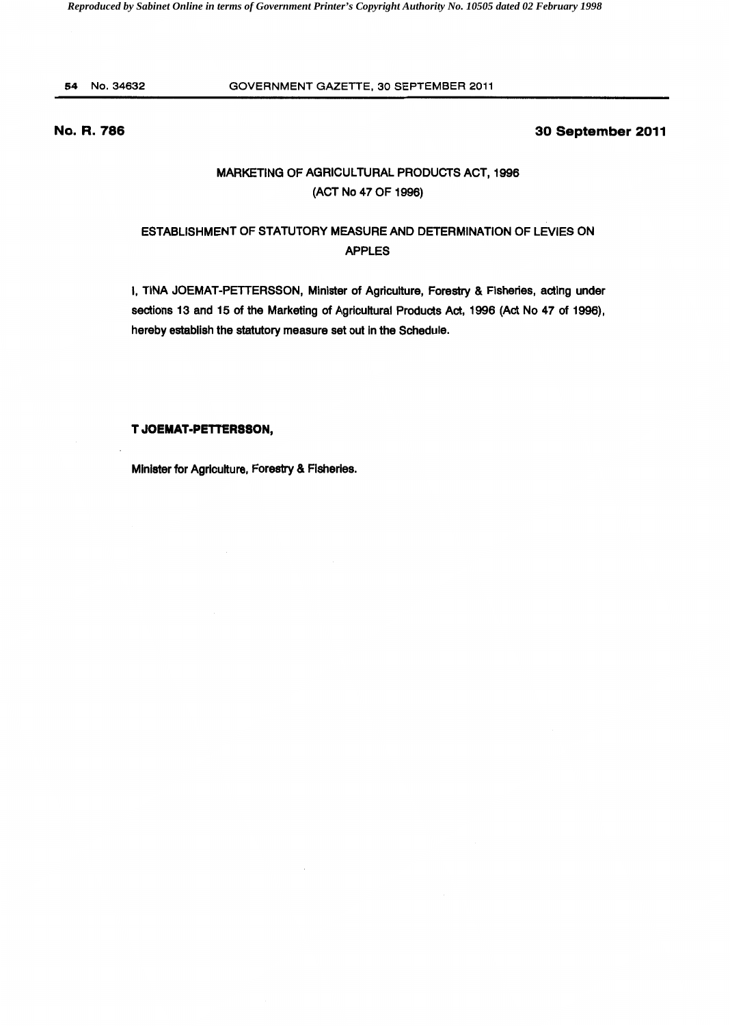# 54 No.34632 GOVERNMENT GAZETTE, 30 SEPTEMBER 2011

# **No. R. 786**

# **30 September 2011**

# MARKETING OF AGRICULTURAL PRODUCTS ACT, 1996 (ACT No 47 OF 1996)

# ESTABLISHMENT OF STATUTORY MEASURE AND DETERMINATION OF LEVIES ON APPLES

I, TINA JOEMAT-PETTERSSON, Minister of Agriculture, Forestry & Fisheries, acting under sections 13 and 15 of the Marketing of Agricultural Products Act, 1996 (Act No 47 of 1996), hereby establish the statutory measure set out in the Schedule.

# **T JOEMAT·PETTERSSON,**

Minister for Agriculture, Forestry & Fisheries.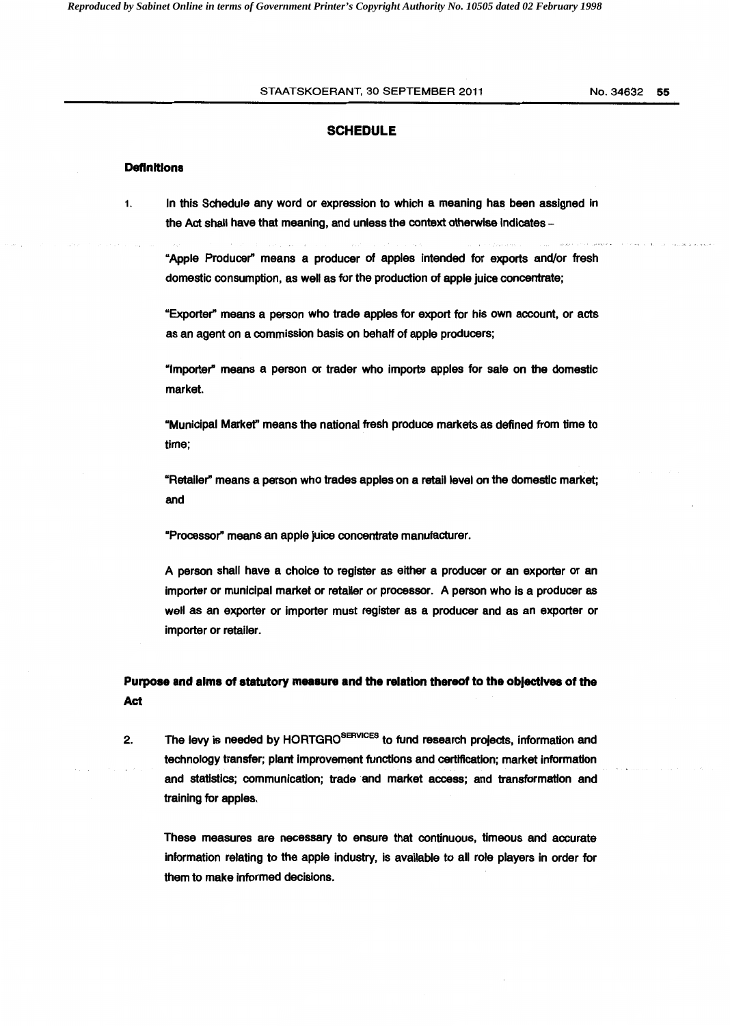## STAATSKOERANT, 30 SEPTEMBER 2011 No. 34632 55

## **SCHEDULE**

### **Definitions**

1. In this Schedule any word or expression to which a meaning has been assigned in the Act shall have that meaning, and unless the context otherwise indicates -

"Apple Producer" means a producer of apples Intended for exports and/or fresh domestic consumption, as well as for the production of apple juice concentrate;

"Exporter" means a person who trade apples for export for his own account, or acts as an agent on a commission basis on behalf of apple producers;

"Importer" means a person or trader who imports apples for sale on the domestic market.

"Municipal Markef' means the national fresh produce markets as defined from time to time;

"Retailer" means a person who trades apples on a retail level on the domestic market; and

"Processor" means an apple juice concentrate manufacturer.

A person shall have a choice to register as either a producer or an exporter or an importer or municipal market or retailer or processor. A person who is a producer as well as an exporter or Importer must register as a producer and as an exporter or importer or retailer.

# **Purpose and alms of statutory measure and the relation thereof to the obJectives of the Act**

2. The levy is needed by HORTGRO<sup>SERVICES</sup> to fund research projects, information and technology transfer; plant Improvement functions and certification; market information and statistics; communication; trade and market access; and transformation and training for apples.

These measures are necessary to ensure that continuous, timeous and accurate information relating to the apple industry, is available to all role players in order for them to make informed decisions.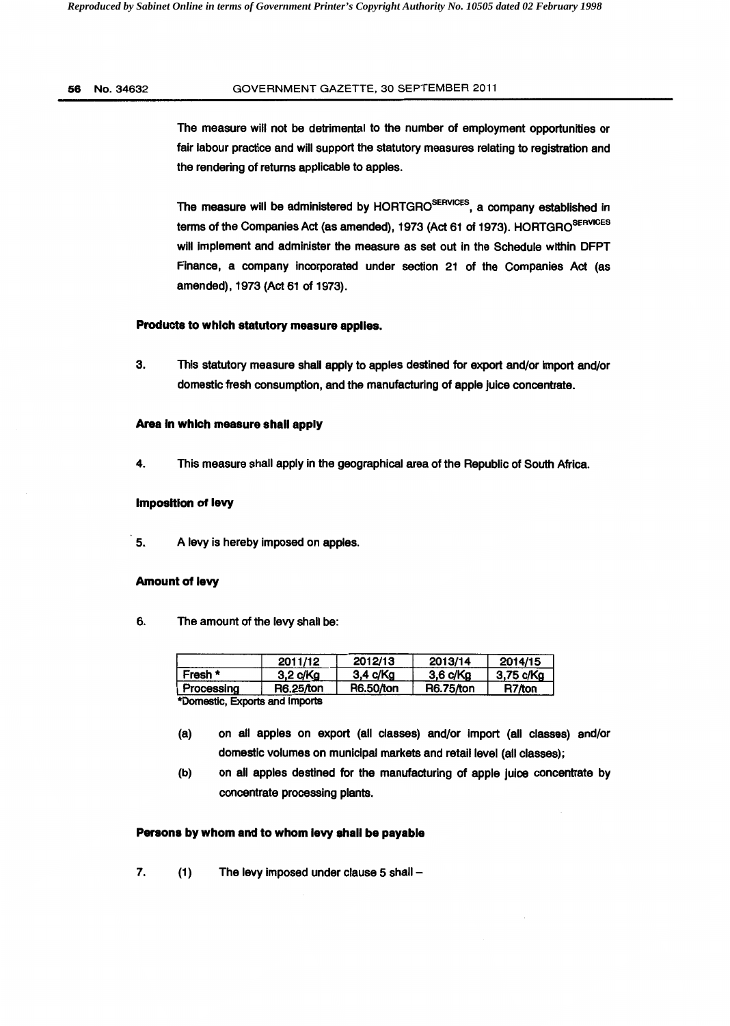# 56 No.34632 GOVERNMENT GAZETTE, 30 SEPTEMBER 2011

The measure will not be detrimental to the number of employment opportunities or fair labour practice and will support the statutory measures relating to registration and the rendering of returns applicable to apples.

The measure will be administered by HORTGRO<sup>SERVICES</sup>, a company established in terms of the Companies Act (as amended), 1973 (Act 61 of 1973). HORTGRO<sup>SERVICES</sup> will implement and administer the measure as set out in the Schedule within DFPT Finance, a company incorporated under section 21 of the Companies Act (as amended), 1973 (Act 61 of 1973).

# Products to which statutory measure applies.

3. This statutory measure shall apply to apples destined for export and/or import and/or domestic fresh consumption, and the manufacturing of apple juice concentrate.

## Area in which measure shall apply

4. This measure shall apply in the geographical area of the Republic of South Africa.

### Imposition of levy

5. A levy is hereby imposed on apples.

### Amount of levy

6. The amount of the levy shall be:

|                                      | 2011/12   | 2012/13   | 2013/14   | 2014/15   |
|--------------------------------------|-----------|-----------|-----------|-----------|
| Fresh *                              | 3.2 c/Ka  | 3.4 c/Ka  | 3.6 c/Ka  | 3,75 c/Kg |
| Processing                           | R6.25/ton | R6.50/ton | R6.75/ton | R7/ton    |
| <b>*Domeetic Evrorte and Importe</b> |           |           |           |           |

\*Domestic, Exports and Imports

- (a) on all apples on export (all classes) and/or Import (all classes) and/or domestic volumes on municipal markets and retail level (all classes);
- (b) on all apples destined for the manufacturing of apple juice concentrate by concentrate processing plants.

# Persons by whom and to whom levy shall be payable

7. (1) The levy imposed under clause 5 shall -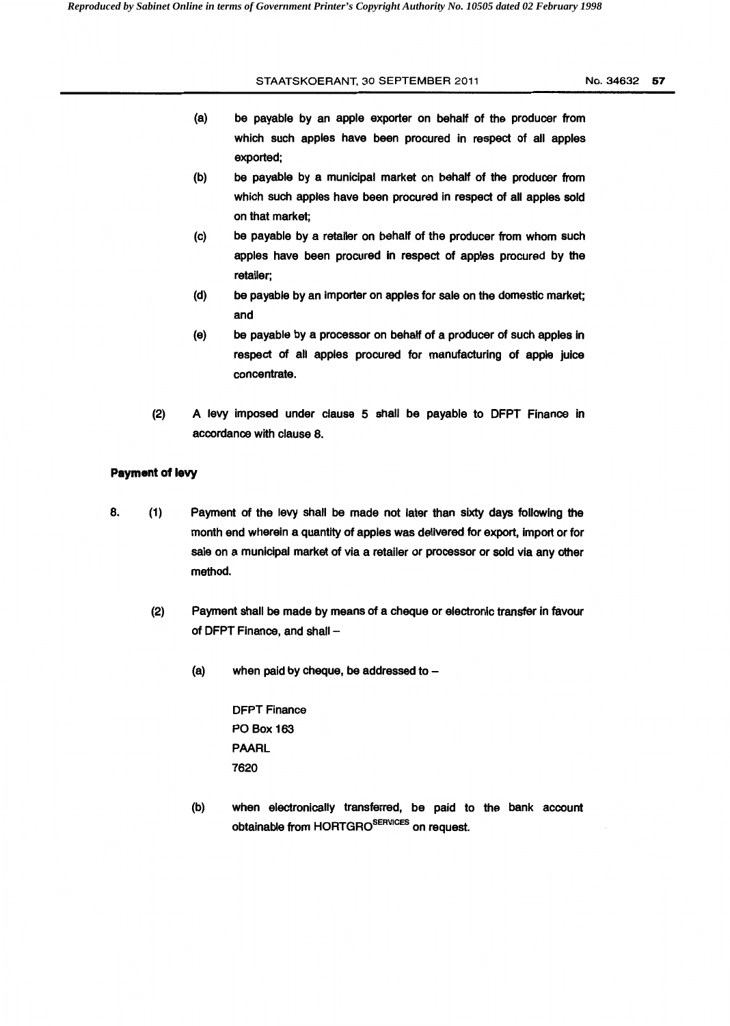### STAATSKOERANT, 30 SEPTEMBER 2011

- (a) be payable by an apple exporter on behalf of the producer from which such apples have been procured in respect of all apples exported;
- (b) be payable by a municipal market on behalf of the producer from which such apples have been procured in respect of all apples sold on that market;
- (c) be payable by a retailer on behalf of the producer from whom such apples have been procured in respect of apples procured by the retailer;
- (d) be payable by an importer on apples for sale on the domestic market; and
- (e) be payable by a processor on behalf of a producer of such apples in respect of all apples procured for manufacturing of apple juice concentrate.
- (2) A levy imposed under clause 5 shall be payable to DFPT Finance in accordance with clause 8.

# **Payment of levy**

- 8. (1) Payment of the levy shall be made not later than sixty days following the month end wherein a quantity of apples was delivered for export, import or for sale on a municipal market of via a retailer or processor or sold via any other method.
	- (2) Payment shall be made by means of a cheque or electronic transfer in favour of DFPT Finance, and shall -
		- (a) when paid by cheque, be addressed to  $-$

DFPT Finance PO Box 163 PAARL 7620

(b) when electronically transferred, be paid to the bank account obtainable from HORTGRO<sup>SERVICES</sup> on request.